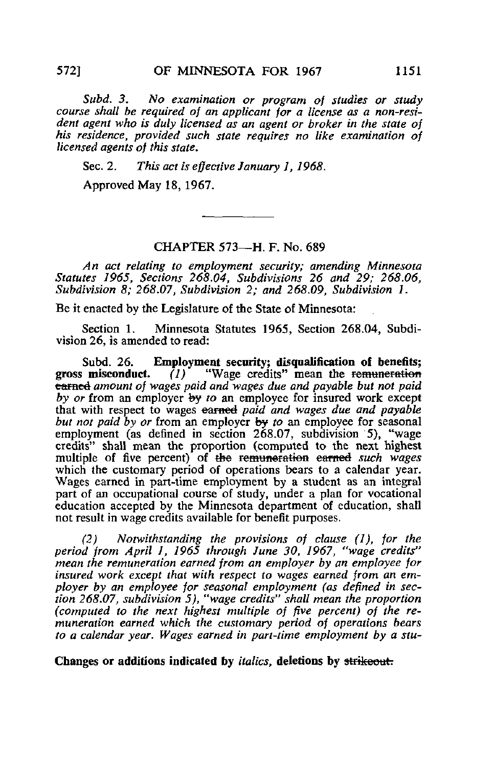Subd. 3. No examination or program of studies or study course shall be required of an applicant for a license as a non-resident agent who is duly licensed as an agent or broker in the state of his residence, provided such state requires no like examination of licensed agents of this state.

Sec. 2. This act is effective January 1, 1968.

Approved May 18, 1967.

## CHAPTER 573—H. F. No. 689

An act relating to employment security; amending Minnesota Statutes 1965, Sections 268.04, Subdivisions 26 and 29; 268.06, Subdivision 8: 268.07, Subdivision 2; and 268.09, Subdivision 1.

Be it enacted by the Legislature of the State of Minnesota:

Section 1. Minnesota Statutes 1965, Section 268.04, Subdivision 26, is amended to read:

Subd. 26. Employment security; disqualification of benefits; gross misconduct.  $(1)$  "Wage credits" mean the remuneration  $(1)$  "Wage credits" mean the remuneration earned amount of wages paid and wages due and payable but not paid by or from an employer  $\frac{dy}{dx}$  to an employee for insured work except that with respect to wages earned paid and wages due and payable but not paid by or from an employer by to an employee for seasonal employment (as defined in section 268.07, subdivision 5), "wage credits" shall mean the proportion (computed to the next highest multiple of five percent) of the remuneration earned such wages which the customary period of operations bears to a calendar year. Wages earned in part-time employment by a student as an integral part of an occupational course of study, under a plan for vocational education accepted by the Minnesota department of education, shall not result in wage credits available for benefit purposes.

(2) Notwithstanding the provisions of clause (1), for the period from April J, 1965 through June 30, 1967, "wage credits" mean the remuneration earned from an employer by an employee for insured work except that with respect to wages earned from an employer by an employee for seasonal employment (as defined in section 268.07, subdivision 5), "wage credits" shall mean the proportion (computed to the next highest multiple of five percent) of the remuneration earned which the customary period of operations bears to a calendar year. Wages earned in part-time employment by a stu-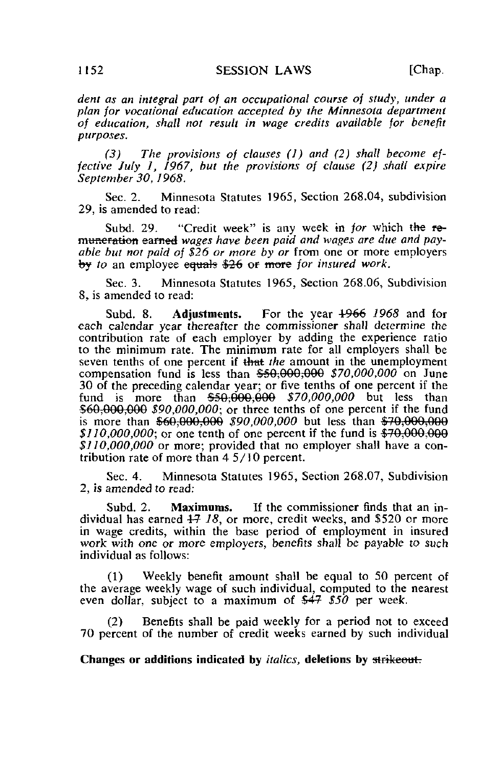dent as an integral part of an occupational course of study, under a plan for vocational education accepted by the Minnesota department of education, shall not result in wage credits available for benefit purposes.

(3) The provisions of clauses  $(1)$  and  $(2)$  shall become effective July 1, 1967, but the provisions of clause (2) shall expire September 30, J968.

Sec. 2. Minnesota Statutes 1965, Section 268.04, subdivision 29, is amended to read:

Subd. 29. "Credit week" is any week in for which the remuneration earned wages have been paid and wages are due and payable but not paid of  $$26$  or more by or from one or more employers by to an employee equals \$26 or more for insured work.

Sec. 3. Minnesota Statutes 1965, Section 268.06, Subdivision 8, is amended to read:

Subd. 8. Adjustments. For the year 4966 1968 and for each calendar year thereafter the commissioner shall determine the contribution rate of each employer by adding the experience ratio to the minimum rate. The minimum rate for all employers shall be seven tenths of one percent if that the amount in the unemployment compensation fund is less than  $$50,000,000$   $$70,000,000$  on June 30 of the preceding calendar year; or five tenths of one percent if the fund is more than  $$50,000,000$   $$70,000,000$  but less than \$60,000,000 \$90,000,000; or three tenths of one percent if the fund is more than  $$60,000,000$$  \$90,000,000 but less than  $$70,000,000$  $$110,000,000$ ; or one tenth of one percent if the fund is  $$70,000,000$ \$110,000,000 or more; provided that no employer shall have a contribution rate of more than 45/10 percent.

Sec. 4. Minnesota Statutes 1965, Section 268.07, Subdivision 2, is amended to read:

Subd. 2. **Maximums.** If the commissioner finds that an individual has earned  $47$  18, or more, credit weeks, and \$520 or more in wage credits, within the base period of employment in insured work with one or more employers, benefits shall be payable to such individual as follows:

(1) Weekly benefit amount shall be equal to 50 percent of the average weekly wage of such individual, computed to the nearest even dollar, subject to a maximum of  $\frac{44}{7}$  \$50 per week.

(2) Benefits shall be paid weekly for a period not to exceed 70 percent of the number of credit weeks earned by such individual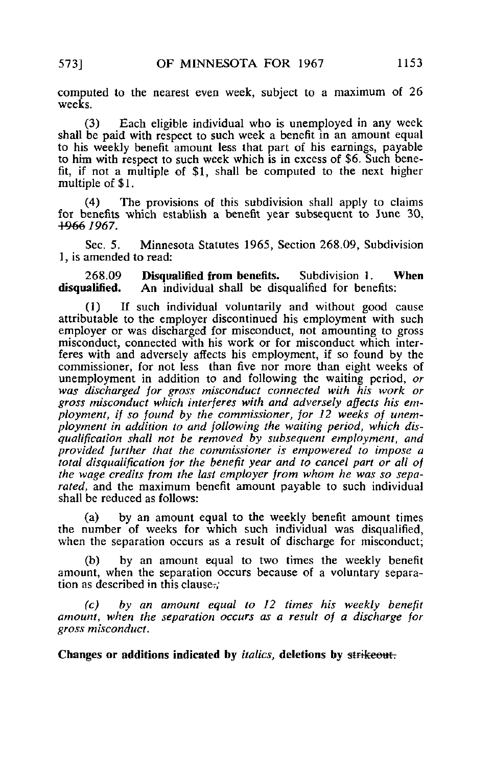computed to the nearest even week, subject to a maximum of 26 weeks.

(3) Each eligible individual who is unemployed in any week shall be paid with respect to such week a benefit in an amount equal to his weekly benefit amount less that part of his earnings, payable to him with respect to such week which is in excess of \$6. Such benefit, if not a multiple of \$1, shall be computed to the next higher multiple of \$1.

(4) The provisions of this subdivision shall apply to claims for benefits which establish a benefit year subsequent to June 30, +966 7967.

Sec. 5. Minnesota Statutes 1965, Section 268.09, Subdivision 1, is amended to read:

268.09 **Disqualified from benefits.** Subdivision 1. When **disqualified.** An individual shall be disqualified for benefits: An individual shall be disqualified for benefits:

(1) If such individual voluntarily and without good cause attributable to the employer discontinued his employment with such employer or was discharged for misconduct, not amounting to gross misconduct, connected with his work or for misconduct which interferes with and adversely affects his employment, if so found by the commissioner, for not less than five nor more than eight weeks of unemployment in addition to and following the waiting period, or was discharged for gross misconduct connected with his work or gross misconduct which interferes with and adversely affects his employment, if so found by the commissioner, for 12 weeks of unemployment in addition to and following the waiting period, which disqualification shall not be removed by subsequent employment, and provided further that the commissioner is empowered to impose a total disqualification for the benefit year and to cancel part or all of the wage credits from the last employer from whom he was so separated, and the maximum benefit amount payable to such individual shall be reduced as follows:

(a) by an amount equal to the weekly benefit amount times the number of weeks for which such individual was disqualified, when the separation occurs as a result of discharge for misconduct;

(b) by an amount equal to two times the weekly benefit amount, when the separation occurs because of a voluntary separation as described in this clause.;

(c) by an amount equal to 12 times his weekly benefit amount, when the separation occurs as a result of a discharge for gross misconduct.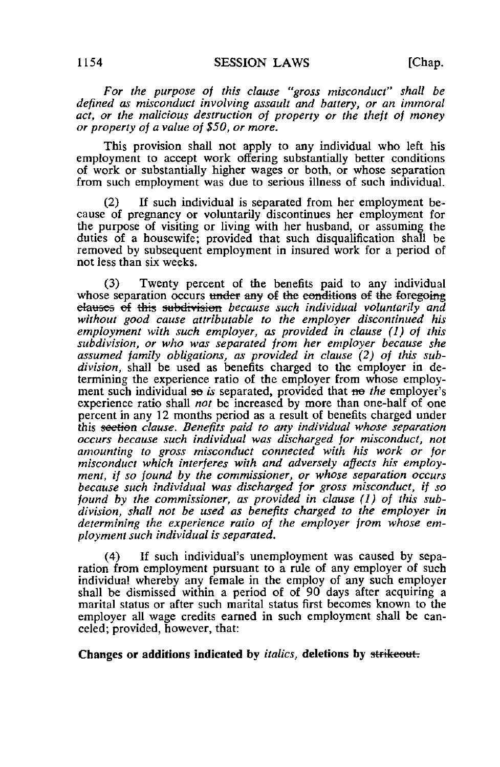For the purpose of this clause "gross misconduct" shall be defined as misconduct involving assault and battery, or an immoral act, or the malicious destruction of property or the theft of money or property of a value of \$50, or more.

This provision shall not apply to any individual who left his employment to accept work offering substantially better conditions of work or substantially higher wages or both, or whose separation from such employment was due to serious illness of such individual.

If such individual is separated from her employment because of pregnancy or voluntarily discontinues her employment for the purpose of visiting or living with her husband, or assuming the duties of a housewife; provided that such disqualification shall be removed by subsequent employment in insured work for a period of not less than six weeks.

(3) Twenty percent of the benefits paid to any individual whose separation occurs under any of the conditions of the foregoing elauses of this subdivision because such individual voluntarily and without good cause attributable to the employer discontinued his employment with such employer, as provided in clause (1) of this subdivision, or who was separated from her employer because she assumed family obligations, as provided in clause (2) of this subdivision, shall be used as benefits charged to the employer in determining the experience ratio of the employer from whose employment such individual so is separated, provided that no the employer's experience ratio shall not be increased by more than one-half of one percent in any 12 months period as a result of benefits charged under this seetien clause. Benefits paid to any individual whose separation occurs because such individual was discharged for misconduct, not amounting to gross misconduct connected with his work or for misconduct which interferes with and adversely affects his employment, if so found by the commissioner, or whose separation occurs because such individual was discharged for gross misconduct, if so found by the commissioner, as provided in clause (1) of this subdivision, shall not be used as benefits charged to the employer in determining the experience ratio of the employer from whose employment such individual is separated.

(4) If such individual's unemployment was caused by separation from employment pursuant to a rule of any employer of such individual whereby any female in the employ of any such employer shall be dismissed within a period of of 90 days after acquiring a marital status or after such marital status first becomes known to the employer all wage credits earned in such employment shall be canceled; provided, however, that: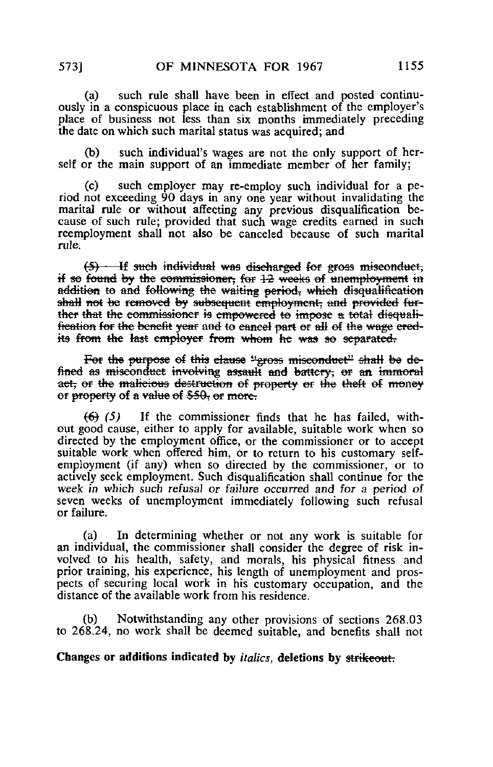(a) such rule shall have been in effect and posted continuously in a conspicuous place in each establishment of the employer's place of business not less than six months immediately preceding the date on which such marital status was acquired; and

(b) such individual's wages are not the only support of herself or the main support of an immediate member of her family;

(c) such employer may re-employ such individual for a period not exceeding 90 days in any one year without invalidating the marital rule or without affecting any previous disqualification because of such rule; provided that such wage credits earned in such reemployment shall not also be canceled because of such marital rule.

 $(5)$  If such individual was discharged for gross miseonduct, if so found by the commissioner; for  $12$  weeks of unemployment in addition to and following the waiting period, which disqualification shall not be removed by subsequent employment, and provided further that the commissioner is empowered to impose a total disqualification for the benefit year and to cancel part or all of the wage credits from the last employer from whom he was so separated.

For the purpose of this clause "gross misconduct" shall be defined as misconduct involving assault and battery; or an immoral aet, or the malicious destruction of property or the theft of money or property of a value of  $$50$  or more.

 $(6)$  (5) If the commissioner finds that he has failed, without good cause, either to apply for available, suitable work when so directed by the employment office, or the commissioner or to accept suitable work when offered him, or to return to his customary selfemployment (if any) when so directed by the commissioner, or to actively seek employment. Such disqualification shall continue for the week in which such refusal or failure occurred and for a period of seven weeks of unemployment immediately following such refusal or failure.

(a) In determining whether or not any work is suitable for an individual, the commissioner shall consider the degree of risk involved to his health, safety, and morals, his physical fitness and prior training, his experience, his length of unemployment and prospects of securing local work in his customary occupation, and the distance of the available work from his residence.

(b) Notwithstanding any other provisions of sections 268.03 to 268.24, no work shall be deemed suitable, and benefits shall not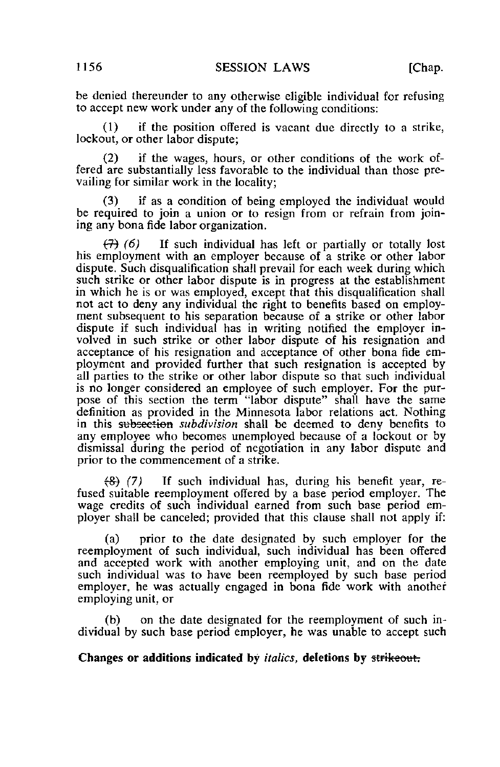be denied thereunder to any otherwise eligible individual for refusing to accept new work under any of the following conditions:

(1) if the position offered is vacant due directly to a strike, lockout, or other labor dispute;

(2) if the wages, hours, or other conditions of the work offered are substantially less favorable to the individual than those prevailing for similar work in the locality;

(3) if as a condition of being employed the individual would be required to join a union or to resign from or refrain from joining any bona fide labor organization.

 $(7)$  (6) If such individual has left or partially or totally lost his employment with an employer because of a strike or other labor dispute. Such disqualification shall prevail for each week during which such strike or other labor dispute is in progress at the establishment in which he is or was employed, except that this disqualification shall not act to deny any individual the right to benefits based on employment subsequent to his separation because of a strike or other labor dispute if such individual has in writing notified the employer involved in such strike or other labor dispute of his resignation and acceptance of his resignation and acceptance of other bona fide employment and provided further that such resignation is accepted by all parties to the strike or other labor dispute so that such individual is no longer considered an employee of such employer. For the purpose of this section the term "labor dispute" shall have the same definition as provided in the Minnesota labor relations act. Nothing in this subsection subdivision shall be deemed to deny benefits to any employee who becomes unemployed because of a lockout or by dismissal during the period of negotiation in any labor dispute and prior to the commencement of a strike.

 $\langle 8\rangle$  (7) If such individual has, during his benefit year, refused suitable reemployment offered by a base period employer. The wage credits of such individual earned from such base period employer shall be canceled; provided that this clause shall not apply if:

(a) prior to the date designated by such employer for the reemployment of such individual, such individual has been offered and accepted work with another employing unit, and on the date such individual was to have been reemployed by such base period employer, he was actually engaged in bona fide work with another employing unit, or

(b) on the date designated for the reemployment of such individual by such base period employer, he was unable to accept such